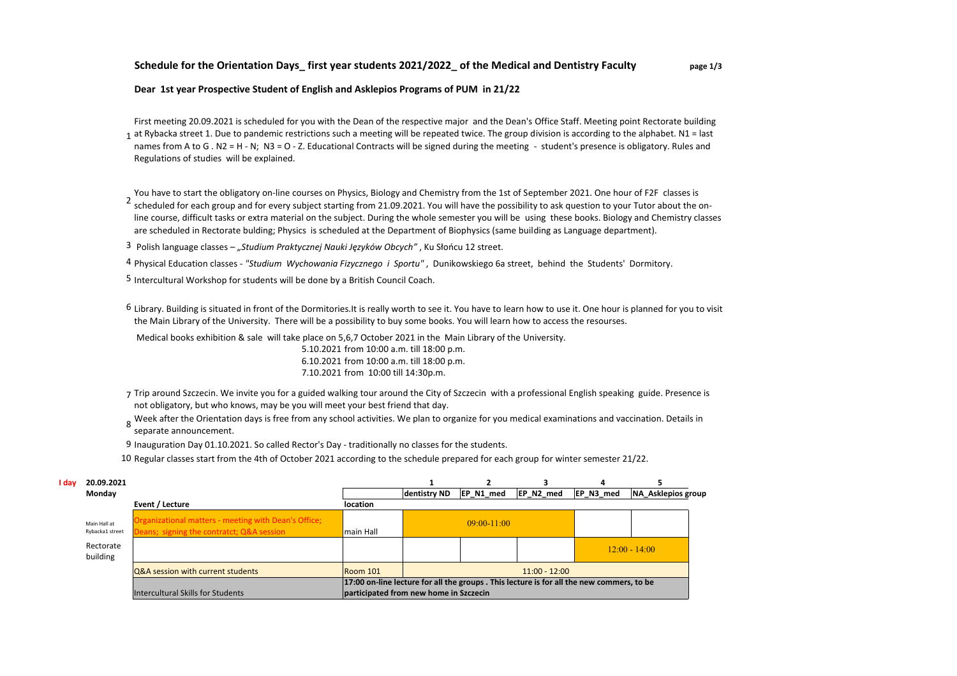## **Schedule for the Orientation Days\_ first year students 2021/2022\_ of the Medical and Dentistry Faculty page 1/3**

**Dear 1st year Prospective Student of English and Asklepios Programs of PUM in 21/22**

 $_1$  at Rybacka street 1. Due to pandemic restrictions such a meeting will be repeated twice. The group division is according to the alphabet. N1 = last First meeting 20.09.2021 is scheduled for you with the Dean of the respective major and the Dean's Office Staff. Meeting point Rectorate building names from A to G . N2 = H - N; N3 = O - Z. Educational Contracts will be signed during the meeting - student's presence is obligatory. Rules and Regulations of studies will be explained.

2 scheduled for each group and for every subject starting from 21.09.2021. You will have the possibility to ask question to your Tutor about the on-You have to start the obligatory on-line courses on Physics, Biology and Chemistry from the 1st of September 2021. One hour of F2F classes is line course, difficult tasks or extra material on the subject. During the whole semester you will be using these books. Biology and Chemistry classes are scheduled in Rectorate bulding; Physics is scheduled at the Department of Biophysics (same building as Language department).

3 Polish language classes – *"Studium Praktycznej Nauki Języków Obcych"* , Ku Słońcu 12 street.

4 Physical Education classes - *"Studium Wychowania Fizycznego i Sportu"* , Dunikowskiego 6a street, behind the Students' Dormitory.

5 Intercultural Workshop for students will be done by a British Council Coach.

6 Library. Building is situated in front of the Dormitories.It is really worth to see it. You have to learn how to use it. One hour is planned for you to visit the Main Library of the University. There will be a possibility to buy some books. You will learn how to access the resourses.

Medical books exhibition & sale will take place on 5,6,7 October 2021 in the Main Library of the University.

5.10.2021 from 10:00 a.m. till 18:00 p.m. 6.10.2021 from 10:00 a.m. till 18:00 p.m. 7.10.2021 from 10:00 till 14:30p.m.

- 7 Trip around Szczecin. We invite you for a guided walking tour around the City of Szczecin with a professional English speaking guide. Presence is not obligatory, but who knows, may be you will meet your best friend that day.
- 8 Week after the Orientation days is free from any school activities. We plan to organize for you medical examinations and vaccination. Details in<br>8 separate arguments separate announcement.
- 9 Inauguration Day 01.10.2021. So called Rector's Day traditionally no classes for the students.
- 10 Regular classes start from the 4th of October 2021 according to the schedule prepared for each group for winter semester 21/22.

| I dav | 20.09.2021                      |                                                                                                   |                                        |              |                 |                 |                                                                                           |                           |
|-------|---------------------------------|---------------------------------------------------------------------------------------------------|----------------------------------------|--------------|-----------------|-----------------|-------------------------------------------------------------------------------------------|---------------------------|
|       | Monday                          |                                                                                                   |                                        | dentistry ND | EP N1 med       | EP N2 med       | EP N3 med                                                                                 | <b>NA Asklepios group</b> |
|       |                                 | Event / Lecture                                                                                   | location                               |              |                 |                 |                                                                                           |                           |
|       | Main Hall at<br>Rybacka1 street | Organizational matters - meeting with Dean's Office;<br>Deans; signing the contratct; Q&A session | main Hall                              |              | $09:00 - 11:00$ |                 |                                                                                           |                           |
|       | Rectorate                       |                                                                                                   |                                        |              |                 |                 |                                                                                           |                           |
|       | building                        |                                                                                                   |                                        |              |                 |                 |                                                                                           | $12:00 - 14:00$           |
|       |                                 | Q&A session with current students                                                                 | Room 101                               |              |                 | $11:00 - 12:00$ |                                                                                           |                           |
|       |                                 |                                                                                                   |                                        |              |                 |                 | 17:00 on-line lecture for all the groups . This lecture is for all the new commers, to be |                           |
|       |                                 | Intercultural Skills for Students                                                                 | participated from new home in Szczecin |              |                 |                 |                                                                                           |                           |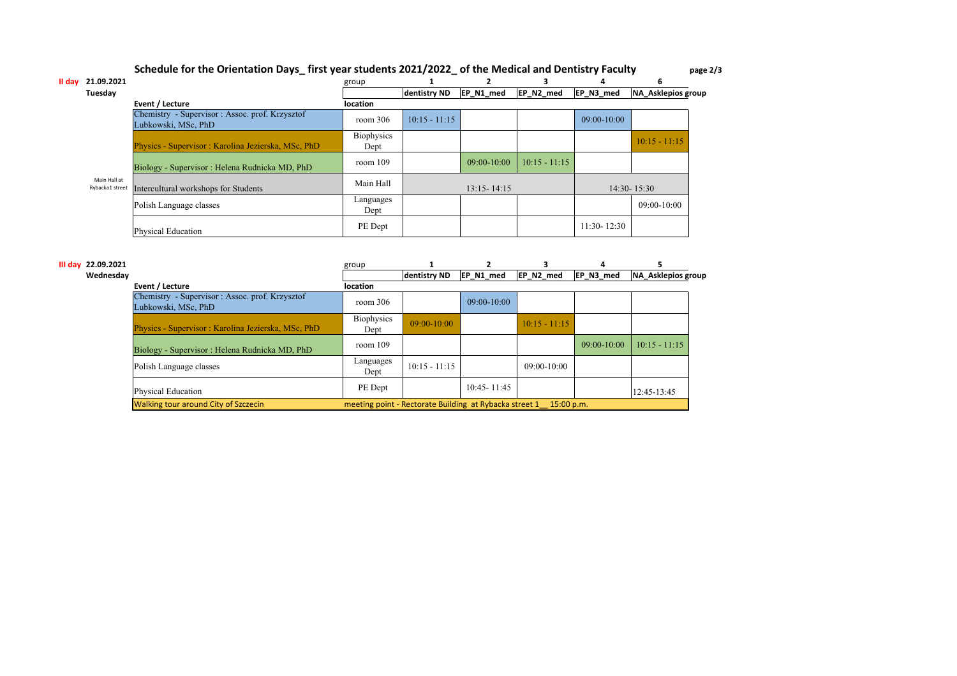## **Schedule for the Orientation Days\_ first year students 2021/2022\_ of the Medical and Dentistry Faculty page 2/3**

| II dav | 21.09.2021                      |                                                                        | group                     |                 |                 | 3               |                 | h                  |
|--------|---------------------------------|------------------------------------------------------------------------|---------------------------|-----------------|-----------------|-----------------|-----------------|--------------------|
|        | Tuesday                         |                                                                        |                           | dentistry ND    | EP_N1_med       | EP_N2_med       | EP_N3_med       | NA Asklepios group |
|        |                                 | Event / Lecture                                                        | <b>location</b>           |                 |                 |                 |                 |                    |
|        |                                 | Chemistry - Supervisor : Assoc. prof. Krzysztof<br>Lubkowski, MSc, PhD | room 306                  | $10:15 - 11:15$ |                 |                 | $09:00-10:00$   |                    |
|        |                                 | Physics - Supervisor : Karolina Jezierska, MSc, PhD                    | <b>Biophysics</b><br>Dept |                 |                 |                 |                 | $10:15 - 11:15$    |
|        | Main Hall at<br>Rybacka1 street | Biology - Supervisor : Helena Rudnicka MD, PhD                         | room $109$                |                 | $09:00-10:00$   | $10:15 - 11:15$ |                 |                    |
|        |                                 | Intercultural workshops for Students                                   | Main Hall                 |                 | $13:15 - 14:15$ |                 |                 | $14:30 - 15:30$    |
|        |                                 | Polish Language classes                                                | Languages<br>Dept         |                 |                 |                 |                 | $09:00-10:00$      |
|        |                                 | <b>Physical Education</b>                                              | PE Dept                   |                 |                 |                 | $11:30 - 12:30$ |                    |

| III day 22.09.2021 |                                                                        | group                                                             |                 |                 |                 |               |                    |
|--------------------|------------------------------------------------------------------------|-------------------------------------------------------------------|-----------------|-----------------|-----------------|---------------|--------------------|
| Wednesdav          |                                                                        |                                                                   | dentistry ND    | EP N1 med       | EP N2 med       | EP N3 med     | NA Asklepios group |
|                    | Event / Lecture                                                        | <b>location</b>                                                   |                 |                 |                 |               |                    |
|                    | Chemistry - Supervisor : Assoc. prof. Krzysztof<br>Lubkowski, MSc, PhD | room $306$                                                        |                 | $09:00 - 10:00$ |                 |               |                    |
|                    | Physics - Supervisor : Karolina Jezierska, MSc, PhD                    | <b>Biophysics</b><br>Dept                                         | $09:00-10:00$   |                 | $10:15 - 11:15$ |               |                    |
|                    | Biology - Supervisor : Helena Rudnicka MD, PhD                         | room $109$                                                        |                 |                 |                 | $09:00-10:00$ | $10:15 - 11:15$    |
|                    | Polish Language classes                                                | Languages<br>Dept                                                 | $10:15 - 11:15$ |                 | $09:00-10:00$   |               |                    |
|                    | Physical Education                                                     | PE Dept                                                           |                 | $10:45 - 11:45$ |                 |               | 12:45-13:45        |
|                    | Walking tour around City of Szczecin                                   | meeting point - Rectorate Building at Rybacka street 1 15:00 p.m. |                 |                 |                 |               |                    |